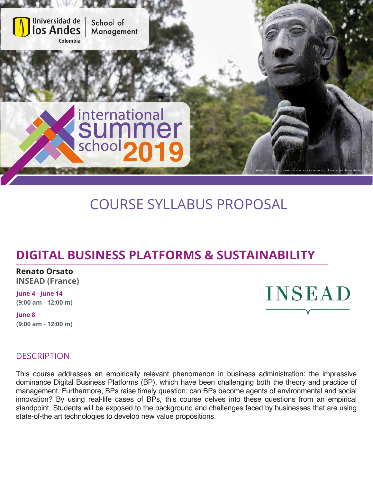

# COURSE SYLLABUS PROPOSAL

## **DIGITAL BUSINESS PLATFORMS & SUSTAINABILITY**

**Renato Orsato INSEAD (France)**

**June 4 - June 14 (9:00 am - 12:00 m)**

**June 8 (9:00 am - 12:00 m)**



## **DESCRIPTION**

This course addresses an empirically relevant phenomenon in business administration: the impressive dominance Digital Business Platforms (BP), which have been challenging both the theory and practice of management. Furthermore, BPs raise timely question: can BPs become agents of environmental and social innovation? By using real-life cases of BPs, this course delves into these questions from an empirical standpoint. Students will be exposed to the background and challenges faced by businesses that are using state-of-the art technologies to develop new value propositions.